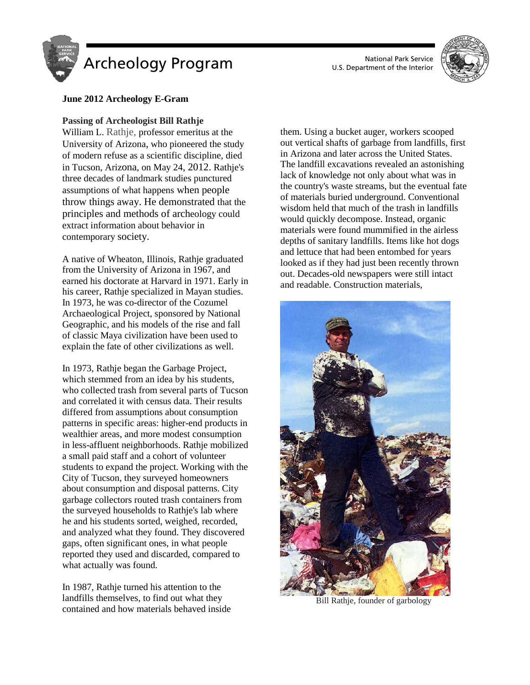



## **June 2012 Archeology E-Gram**

### **Passing of Archeologist Bill Rathje**

William L. Rathje, professor emeritus at the University of Arizona, who pioneered the study of modern refuse as a scientific discipline, died in Tucson, Arizona, on May 24, 2012. Rathje's three decades of landmark studies punctured assumptions of what happens when people throw things away. He demonstrated that the principles and methods of archeology could extract information about behavior in contemporary society.

A native of Wheaton, Illinois, Rathje graduated from the University of Arizona in 1967, and earned his doctorate at Harvard in 1971. Early in his career, Rathje specialized in Mayan studies. In 1973, he was co-director of the Cozumel Archaeological Project, sponsored by National Geographic, and his models of the rise and fall of classic Maya civilization have been used to explain the fate of other civilizations as well.

In 1973, Rathje began the Garbage Project, which stemmed from an idea by his students, who collected trash from several parts of Tucson and correlated it with census data. Their results differed from assumptions about consumption patterns in specific areas: higher-end products in wealthier areas, and more modest consumption in less-affluent neighborhoods. Rathje mobilized a small paid staff and a cohort of volunteer students to expand the project. Working with the City of Tucson, they surveyed homeowners about consumption and disposal patterns. City garbage collectors routed trash containers from the surveyed households to Rathje's lab where he and his students sorted, weighed, recorded, and analyzed what they found. They discovered gaps, often significant ones, in what people reported they used and discarded, compared to what actually was found.

In 1987, Rathje turned his attention to the landfills themselves, to find out what they contained and how materials behaved inside them. Using a bucket auger, workers scooped out vertical shafts of garbage from landfills, first in Arizona and later across the United States. The landfill excavations revealed an astonishing lack of knowledge not only about what was in the country's waste streams, but the eventual fate of materials buried underground. Conventional wisdom held that much of the trash in landfills would quickly decompose. Instead, organic materials were found mummified in the airless depths of sanitary landfills. Items like hot dogs and lettuce that had been entombed for years looked as if they had just been recently thrown out. Decades-old newspapers were still intact and readable. Construction materials,



Bill Rathje, founder of garbology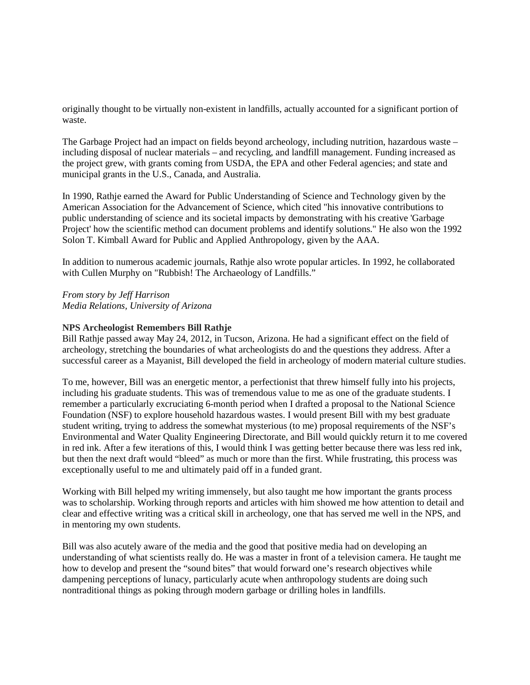originally thought to be virtually non-existent in landfills, actually accounted for a significant portion of waste.

The Garbage Project had an impact on fields beyond archeology, including nutrition, hazardous waste – including disposal of nuclear materials – and recycling, and landfill management. Funding increased as the project grew, with grants coming from USDA, the EPA and other Federal agencies; and state and municipal grants in the U.S., Canada, and Australia.

In 1990, Rathje earned the Award for Public Understanding of Science and Technology given by the American Association for the Advancement of Science, which cited "his innovative contributions to public understanding of science and its societal impacts by demonstrating with his creative 'Garbage Project' how the scientific method can document problems and identify solutions." He also won the 1992 Solon T. Kimball Award for Public and Applied Anthropology, given by the AAA.

In addition to numerous academic journals, Rathje also wrote popular articles. In 1992, he collaborated with Cullen Murphy on "Rubbish! The Archaeology of Landfills."

*From story by Jeff Harrison Media Relations, University of Arizona*

## **NPS Archeologist Remembers Bill Rathje**

Bill Rathje passed away May 24, 2012, in Tucson, Arizona. He had a significant effect on the field of archeology, stretching the boundaries of what archeologists do and the questions they address. After a successful career as a Mayanist, Bill developed the field in archeology of modern material culture studies.

To me, however, Bill was an energetic mentor, a perfectionist that threw himself fully into his projects, including his graduate students. This was of tremendous value to me as one of the graduate students. I remember a particularly excruciating 6-month period when I drafted a proposal to the National Science Foundation (NSF) to explore household hazardous wastes. I would present Bill with my best graduate student writing, trying to address the somewhat mysterious (to me) proposal requirements of the NSF's Environmental and Water Quality Engineering Directorate, and Bill would quickly return it to me covered in red ink. After a few iterations of this, I would think I was getting better because there was less red ink, but then the next draft would "bleed" as much or more than the first. While frustrating, this process was exceptionally useful to me and ultimately paid off in a funded grant.

Working with Bill helped my writing immensely, but also taught me how important the grants process was to scholarship. Working through reports and articles with him showed me how attention to detail and clear and effective writing was a critical skill in archeology, one that has served me well in the NPS, and in mentoring my own students.

Bill was also acutely aware of the media and the good that positive media had on developing an understanding of what scientists really do. He was a master in front of a television camera. He taught me how to develop and present the "sound bites" that would forward one's research objectives while dampening perceptions of lunacy, particularly acute when anthropology students are doing such nontraditional things as poking through modern garbage or drilling holes in landfills.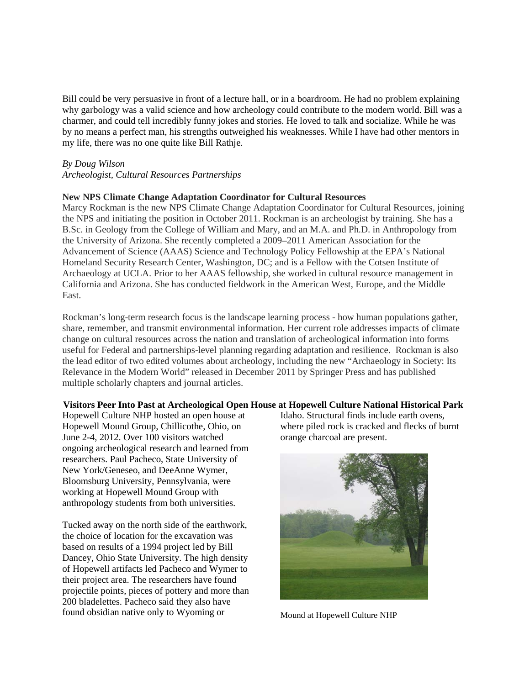Bill could be very persuasive in front of a lecture hall, or in a boardroom. He had no problem explaining why garbology was a valid science and how archeology could contribute to the modern world. Bill was a charmer, and could tell incredibly funny jokes and stories. He loved to talk and socialize. While he was by no means a perfect man, his strengths outweighed his weaknesses. While I have had other mentors in my life, there was no one quite like Bill Rathje.

### *By Doug Wilson*

### *Archeologist, Cultural Resources Partnerships*

## **New NPS Climate Change Adaptation Coordinator for Cultural Resources**

Marcy Rockman is the new NPS Climate Change Adaptation Coordinator for Cultural Resources, joining the NPS and initiating the position in October 2011. Rockman is an archeologist by training. She has a B.Sc. in Geology from the College of William and Mary, and an M.A. and Ph.D. in Anthropology from the University of Arizona. She recently completed a 2009–2011 American Association for the Advancement of Science (AAAS) Science and Technology Policy Fellowship at the EPA's National Homeland Security Research Center, Washington, DC; and is a Fellow with the Cotsen Institute of Archaeology at UCLA. Prior to her AAAS fellowship, she worked in cultural resource management in California and Arizona. She has conducted fieldwork in the American West, Europe, and the Middle East.

Rockman's long-term research focus is the landscape learning process - how human populations gather, share, remember, and transmit environmental information. Her current role addresses impacts of climate change on cultural resources across the nation and translation of archeological information into forms useful for Federal and partnerships-level planning regarding adaptation and resilience. Rockman is also the lead editor of two edited volumes about archeology, including the new "Archaeology in Society: Its Relevance in the Modern World" released in December 2011 by Springer Press and has published multiple scholarly chapters and journal articles.

#### **Visitors Peer Into Past at Archeological Open House at Hopewell Culture National Historical Park**

Hopewell Culture NHP hosted an open house at Hopewell Mound Group, Chillicothe, Ohio, on June 2-4, 2012. Over 100 visitors watched ongoing archeological research and learned from researchers. Paul Pacheco, State University of New York/Geneseo, and DeeAnne Wymer, Bloomsburg University, Pennsylvania, were working at Hopewell Mound Group with anthropology students from both universities.

Tucked away on the north side of the earthwork, the choice of location for the excavation was based on results of a 1994 project led by Bill Dancey, Ohio State University. The high density of Hopewell artifacts led Pacheco and Wymer to their project area. The researchers have found projectile points, pieces of pottery and more than 200 bladelettes. Pacheco said they also have found obsidian native only to Wyoming or

Idaho. Structural finds include earth ovens, where piled rock is cracked and flecks of burnt orange charcoal are present.



Mound at Hopewell Culture NHP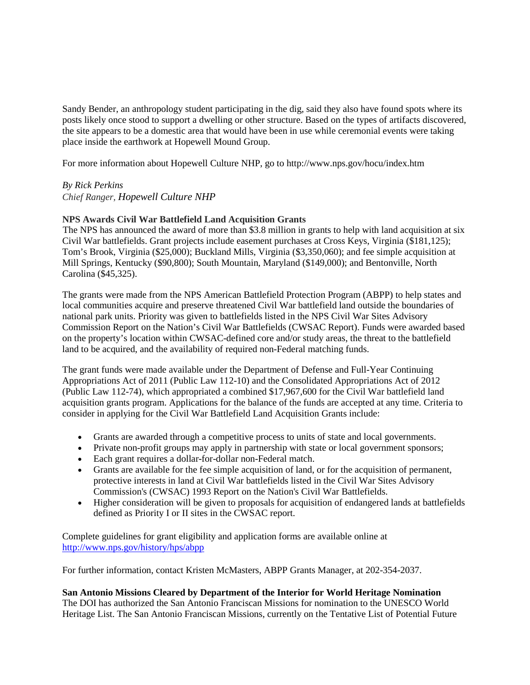Sandy Bender, an anthropology student participating in the dig, said they also have found spots where its posts likely once stood to support a dwelling or other structure. Based on the types of artifacts discovered, the site appears to be a domestic area that would have been in use while ceremonial events were taking place inside the earthwork at Hopewell Mound Group.

For more information about Hopewell Culture NHP, go to http://www.nps.gov/hocu/index.htm

# *By Rick Perkins*

*Chief Ranger, Hopewell Culture NHP*

## **NPS Awards Civil War Battlefield Land Acquisition Grants**

The NPS has announced the award of more than \$3.8 million in grants to help with land acquisition at six Civil War battlefields. Grant projects include easement purchases at Cross Keys, Virginia (\$181,125); Tom's Brook, Virginia (\$25,000); Buckland Mills, Virginia (\$3,350,060); and fee simple acquisition at Mill Springs, Kentucky (\$90,800); South Mountain, Maryland (\$149,000); and Bentonville, North Carolina (\$45,325).

The grants were made from the NPS American Battlefield Protection Program (ABPP) to help states and local communities acquire and preserve threatened Civil War battlefield land outside the boundaries of national park units. Priority was given to battlefields listed in the NPS Civil War Sites Advisory Commission Report on the Nation's Civil War Battlefields (CWSAC Report). Funds were awarded based on the property's location within CWSAC-defined core and/or study areas, the threat to the battlefield land to be acquired, and the availability of required non-Federal matching funds.

The grant funds were made available under the Department of Defense and Full-Year Continuing Appropriations Act of 2011 (Public Law 112-10) and the Consolidated Appropriations Act of 2012 (Public Law 112-74), which appropriated a combined \$17,967,600 for the Civil War battlefield land acquisition grants program. Applications for the balance of the funds are accepted at any time. Criteria to consider in applying for the Civil War Battlefield Land Acquisition Grants include:

- Grants are awarded through a competitive process to units of state and local governments.
- Private non-profit groups may apply in partnership with state or local government sponsors;
- Each grant requires a dollar-for-dollar non-Federal match.
- Grants are available for the fee simple acquisition of land, or for the acquisition of permanent, protective interests in land at Civil War battlefields listed in the Civil War Sites Advisory Commission's (CWSAC) 1993 Report on the Nation's Civil War Battlefields.
- Higher consideration will be given to proposals for acquisition of endangered lands at battlefields defined as Priority I or II sites in the CWSAC report.

Complete guidelines for grant eligibility and application forms are available online at <http://www.nps.gov/history/hps/abpp>

For further information, contact Kristen McMasters, ABPP Grants Manager, at 202-354-2037.

**San Antonio Missions Cleared by Department of the Interior for World Heritage Nomination** The DOI has authorized the San Antonio Franciscan Missions for nomination to the UNESCO World Heritage List. The San Antonio Franciscan Missions, currently on the Tentative List of Potential Future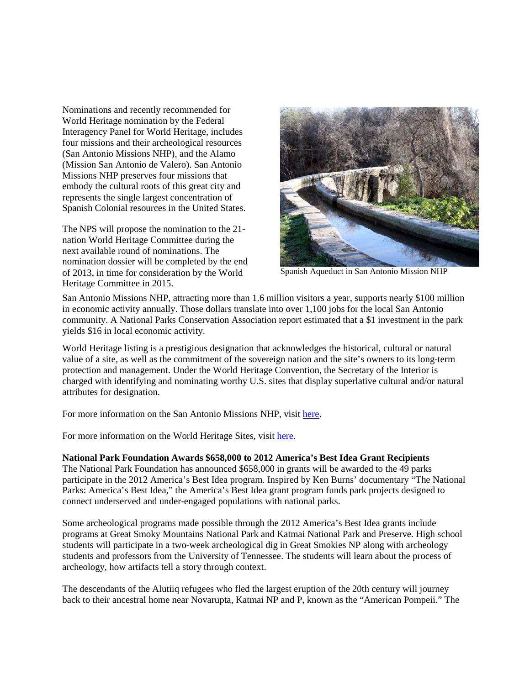Nominations and recently recommended for World Heritage nomination by the Federal Interagency Panel for World Heritage, includes four missions and their archeological resources (San Antonio Missions NHP), and the Alamo (Mission San Antonio de Valero). San Antonio Missions NHP preserves four missions that embody the cultural roots of this great city and represents the single largest concentration of Spanish Colonial resources in the United States.

The NPS will propose the nomination to the 21 nation World Heritage Committee during the next available round of nominations. The nomination dossier will be completed by the end of 2013, in time for consideration by the World Heritage Committee in 2015.



Spanish Aqueduct in San Antonio Mission NHP

San Antonio Missions NHP, attracting more than 1.6 million visitors a year, supports nearly \$100 million in economic activity annually. Those dollars translate into over 1,100 jobs for the local San Antonio community. A National Parks Conservation Association report estimated that a \$1 investment in the park yields \$16 in local economic activity.

World Heritage listing is a prestigious designation that acknowledges the historical, cultural or natural value of a site, as well as the commitment of the sovereign nation and the site's owners to its long-term protection and management. Under the World Heritage Convention, the Secretary of the Interior is charged with identifying and nominating worthy U.S. sites that display superlative cultural and/or natural attributes for designation.

For more information on the San Antonio Missions NHP, visit [here.](http://www.nps.gov/saan/index.htm)

For more information on the World Heritage Sites, visit [here.](http://whc.unesco.org/en/list)

### **National Park Foundation Awards \$658,000 to 2012 America's Best Idea Grant Recipients**

The National Park Foundation has announced \$658,000 in grants will be awarded to the 49 parks participate in the 2012 America's Best Idea program. Inspired by Ken Burns' documentary "The National Parks: America's Best Idea," the America's Best Idea grant program funds park projects designed to connect underserved and under-engaged populations with national parks.

Some archeological programs made possible through the 2012 America's Best Idea grants include programs at Great Smoky Mountains National Park and Katmai National Park and Preserve. High school students will participate in a two-week archeological dig in Great Smokies NP along with archeology students and professors from the University of Tennessee. The students will learn about the process of archeology, how artifacts tell a story through context.

The descendants of the Alutiiq refugees who fled the largest eruption of the 20th century will journey back to their ancestral home near Novarupta, Katmai NP and P, known as the "American Pompeii." The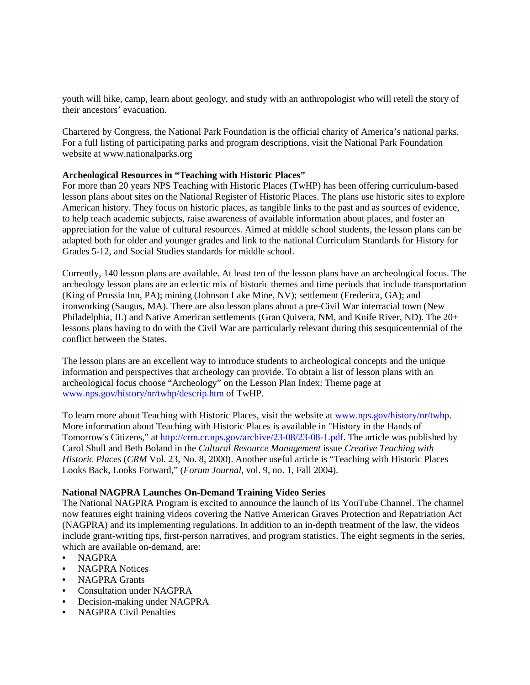youth will hike, camp, learn about geology, and study with an anthropologist who will retell the story of their ancestors' evacuation.

Chartered by Congress, the National Park Foundation is the official charity of America's national parks. For a full listing of participating parks and program descriptions, visit the National Park Foundation website at www.nationalparks.org

## **Archeological Resources in "Teaching with Historic Places"**

For more than 20 years NPS Teaching with Historic Places (TwHP) has been offering curriculum-based lesson plans about sites on the National Register of Historic Places. The plans use historic sites to explore American history. They focus on historic places, as tangible links to the past and as sources of evidence, to help teach academic subjects, raise awareness of available information about places, and foster an appreciation for the value of cultural resources. Aimed at middle school students, the lesson plans can be adapted both for older and younger grades and link to the national Curriculum Standards for History for Grades 5-12, and Social Studies standards for middle school.

Currently, 140 lesson plans are available. At least ten of the lesson plans have an archeological focus. The archeology lesson plans are an eclectic mix of historic themes and time periods that include transportation (King of Prussia Inn, PA); mining (Johnson Lake Mine, NV); settlement (Frederica, GA); and ironworking (Saugus, MA). There are also lesson plans about a pre-Civil War interracial town (New Philadelphia, IL) and Native American settlements (Gran Quivera, NM, and Knife River, ND). The 20+ lessons plans having to do with the Civil War are particularly relevant during this sesquicentennial of the conflict between the States.

The lesson plans are an excellent way to introduce students to archeological concepts and the unique information and perspectives that archeology can provide. To obtain a list of lesson plans with an archeological focus choose "Archeology" on the Lesson Plan Index: Theme page at www.nps.gov/history/nr/twhp/descrip.htm of TwHP.

To learn more about Teaching with Historic Places, visit the website at www.nps.gov/history/nr/twhp. More information about Teaching with Historic Places is available in "History in the Hands of Tomorrow's Citizens," at http://crm.cr.nps.gov/archive/23-08/23-08-1.pdf. The article was published by Carol Shull and Beth Boland in the *Cultural Resource Management* issue *Creative Teaching with Historic Places* (*CRM* Vol. 23, No. 8, 2000). Another useful article is "Teaching with Historic Places Looks Back, Looks Forward," (*Forum Journal*, vol. 9, no. 1, Fall 2004).

#### **National NAGPRA Launches On-Demand Training Video Series**

The National NAGPRA Program is excited to announce the launch of its YouTube Channel. The channel now features eight training videos covering the Native American Graves Protection and Repatriation Act (NAGPRA) and its implementing regulations. In addition to an in-depth treatment of the law, the videos include grant-writing tips, first-person narratives, and program statistics. The eight segments in the series, which are available on-demand, are:

- NAGPRA
- NAGPRA Notices
- NAGPRA Grants
- Consultation under NAGPRA
- Decision-making under NAGPRA
- NAGPRA Civil Penalties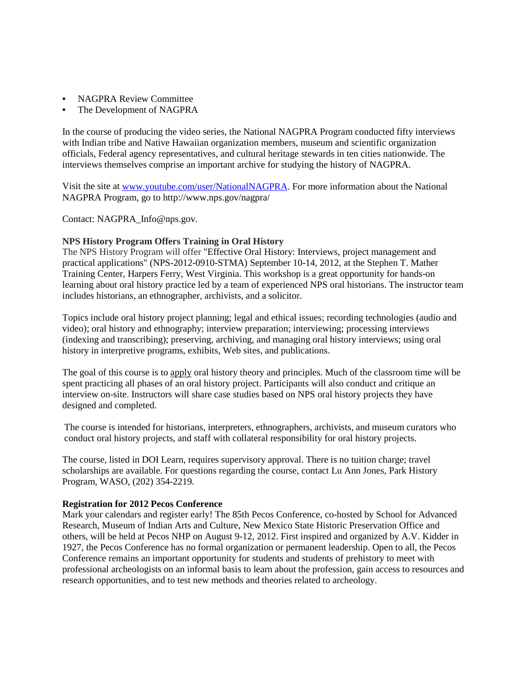- NAGPRA Review Committee
- The Development of NAGPRA

In the course of producing the video series, the National NAGPRA Program conducted fifty interviews with Indian tribe and Native Hawaiian organization members, museum and scientific organization officials, Federal agency representatives, and cultural heritage stewards in ten cities nationwide. The interviews themselves comprise an important archive for studying the history of NAGPRA.

Visit the site at [www.youtube.com/user/NationalNAGPRA.](http://www.youtube.com/user/NationalNAGPRA) For more information about the National NAGPRA Program, go to http://www.nps.gov/nagpra/

Contact: [NAGPRA\\_Info@nps.gov.](mailto:marketing@ydp.eu_) 

## **NPS History Program Offers Training in Oral History**

The NPS History Program will offer "Effective Oral History: Interviews, project management and practical applications" (NPS-2012-0910-STMA) September 10-14, 2012, at the Stephen T. Mather Training Center, Harpers Ferry, West Virginia. This workshop is a great opportunity for hands-on learning about oral history practice led by a team of experienced NPS oral historians. The instructor team includes historians, an ethnographer, archivists, and a solicitor.

Topics include oral history project planning; legal and ethical issues; recording technologies (audio and video); oral history and ethnography; interview preparation; interviewing; processing interviews (indexing and transcribing); preserving, archiving, and managing oral history interviews; using oral history in interpretive programs, exhibits, Web sites, and publications.

The goal of this course is to apply oral history theory and principles. Much of the classroom time will be spent practicing all phases of an oral history project. Participants will also conduct and critique an interview on-site. Instructors will share case studies based on NPS oral history projects they have designed and completed.

The course is intended for historians, interpreters, ethnographers, archivists, and museum curators who conduct oral history projects, and staff with collateral responsibility for oral history projects.

The course, listed in DOI Learn, requires supervisory approval. There is no tuition charge; travel scholarships are available. For questions regarding the course, contact Lu Ann Jones, Park History Program, WASO, (202) 354-2219.

## **Registration for 2012 Pecos Conference**

Mark your calendars and register early! The 85th Pecos Conference, co-hosted by School for Advanced Research, Museum of Indian Arts and Culture, New Mexico State Historic Preservation Office and others, will be held at Pecos NHP on August 9-12, 2012. First inspired and organized by A.V. Kidder in 1927, the Pecos Conference has no formal organization or permanent leadership. Open to all, the Pecos Conference remains an important opportunity for students and students of prehistory to meet with professional archeologists on an informal basis to learn about the profession, gain access to resources and research opportunities, and to test new methods and theories related to archeology.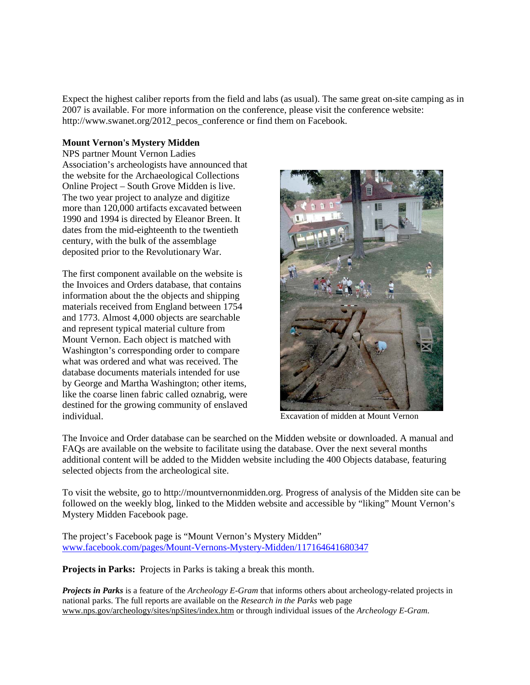Expect the highest caliber reports from the field and labs (as usual). The same great on-site camping as in 2007 is available. For more information on the conference, please visit the conference website: http://www.swanet.org/2012\_pecos\_conference or find them on Facebook.

# **Mount Vernon's Mystery Midden**

NPS partner Mount Vernon Ladies Association's archeologists have announced that the website for the Archaeological Collections Online Project – South Grove Midden is live. The two year project to analyze and digitize more than 120,000 artifacts excavated between 1990 and 1994 is directed by Eleanor Breen. It dates from the mid-eighteenth to the twentieth century, with the bulk of the assemblage deposited prior to the Revolutionary War.

The first component available on the website is the Invoices and Orders database, that contains information about the the objects and shipping materials received from England between 1754 and 1773. Almost 4,000 objects are searchable and represent typical material culture from Mount Vernon. Each object is matched with Washington's corresponding order to compare what was ordered and what was received. The database documents materials intended for use by George and Martha Washington; other items, like the coarse linen fabric called oznabrig, were destined for the growing community of enslaved individual. Excavation of midden at Mount Vernon



The Invoice and Order database can be searched on the Midden website or downloaded. A manual and FAQs are available on the website to facilitate using the database. Over the next several months additional content will be added to the Midden website including the 400 Objects database, featuring selected objects from the archeological site.

To visit the website, go to http://mountvernonmidden.org. Progress of analysis of the Midden site can be followed on the weekly blog, linked to the Midden website and accessible by "liking" Mount Vernon's Mystery Midden Facebook page.

The project's Facebook page is "Mount Vernon's Mystery Midden" [www.facebook.com/pages/Mount-Vernons-Mystery-Midden/117164641680347](http://www.facebook.com/pages/Mount-Vernons-Mystery-Midden/117164641680347)

**Projects in Parks:** Projects in Parks is taking a break this month.

*Projects in Parks* is a feature of the *Archeology E-Gram* that informs others about archeology-related projects in national parks. The full reports are available on the *Research in the Parks* web page [www.nps.gov/archeology/sites/npSites/index.htm](http://www.nps.gov/archeology/sites/npSites/index.htm) or through individual issues of the *Archeology E-Gram*.